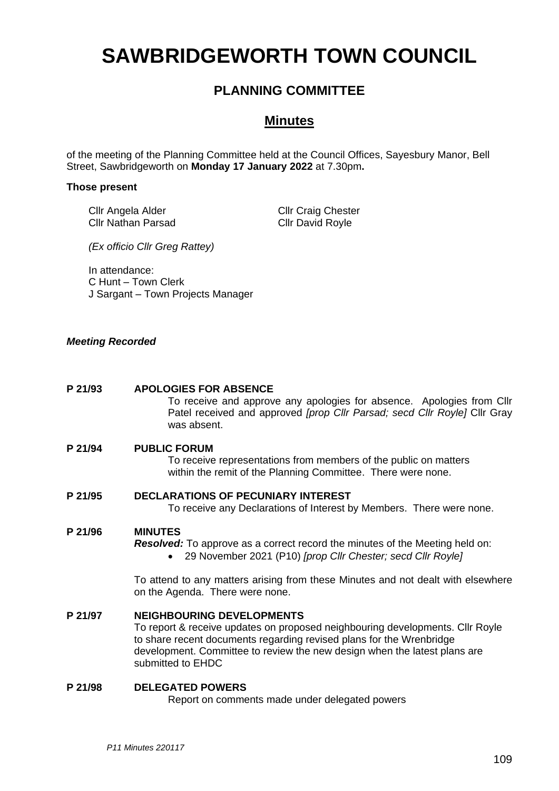# **SAWBRIDGEWORTH TOWN COUNCIL**

# **PLANNING COMMITTEE**

# **Minutes**

of the meeting of the Planning Committee held at the Council Offices, Sayesbury Manor, Bell Street, Sawbridgeworth on **Monday 17 January 2022** at 7.30pm**.**

#### **Those present**

Cllr Angela Alder Cllr Nathan Parsad Cllr Craig Chester Cllr David Royle

*(Ex officio Cllr Greg Rattey)*

In attendance: C Hunt – Town Clerk J Sargant – Town Projects Manager

#### *Meeting Recorded*

#### **P 21/93 APOLOGIES FOR ABSENCE**

To receive and approve any apologies for absence. Apologies from Cllr Patel received and approved *[prop Cllr Parsad; secd Cllr Royle]* Cllr Gray was absent.

#### **P 21/94 PUBLIC FORUM**

To receive representations from members of the public on matters within the remit of the Planning Committee. There were none.

# **P 21/95 DECLARATIONS OF PECUNIARY INTEREST**

To receive any Declarations of Interest by Members. There were none.

#### **P 21/96 MINUTES**

- *Resolved:* To approve as a correct record the minutes of the Meeting held on:
	- 29 November 2021 (P10) *[prop Cllr Chester; secd Cllr Royle]*

To attend to any matters arising from these Minutes and not dealt with elsewhere on the Agenda. There were none.

## **P 21/97 NEIGHBOURING DEVELOPMENTS**

To report & receive updates on proposed neighbouring developments. Cllr Royle to share recent documents regarding revised plans for the Wrenbridge development. Committee to review the new design when the latest plans are submitted to EHDC

#### **P 21/98 DELEGATED POWERS**

Report on comments made under delegated powers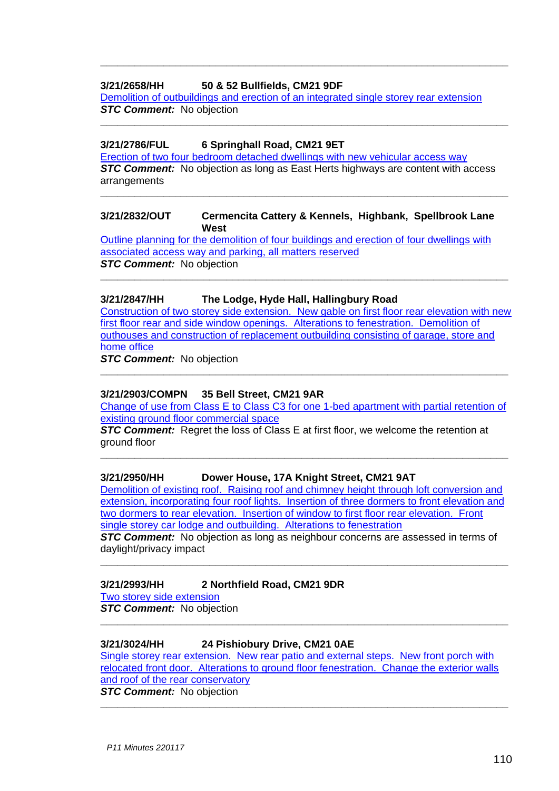#### **3/21/2658/HH 50 & 52 Bullfields, CM21 9DF**

Demolition of **outbuildings and erection of an integrated single storey rear extension** *STC Comment:* No objection

**\_\_\_\_\_\_\_\_\_\_\_\_\_\_\_\_\_\_\_\_\_\_\_\_\_\_\_\_\_\_\_\_\_\_\_\_\_\_\_\_\_\_\_\_\_\_\_\_\_\_\_\_\_\_\_\_\_\_\_\_\_\_\_\_\_\_\_\_\_\_\_**

**\_\_\_\_\_\_\_\_\_\_\_\_\_\_\_\_\_\_\_\_\_\_\_\_\_\_\_\_\_\_\_\_\_\_\_\_\_\_\_\_\_\_\_\_\_\_\_\_\_\_\_\_\_\_\_\_\_\_\_\_\_\_\_\_\_\_\_\_\_\_\_**

#### **3/21/2786/FUL 6 Springhall Road, CM21 9ET**

[Erection of two four bedroom detached dwellings with new vehicular access way](https://publicaccess.eastherts.gov.uk/online-applications/applicationDetails.do?activeTab=documents&keyVal=R23AAFGLHW700) **STC Comment:** No objection as long as East Herts highways are content with access arrangements

**\_\_\_\_\_\_\_\_\_\_\_\_\_\_\_\_\_\_\_\_\_\_\_\_\_\_\_\_\_\_\_\_\_\_\_\_\_\_\_\_\_\_\_\_\_\_\_\_\_\_\_\_\_\_\_\_\_\_\_\_\_\_\_\_\_\_\_\_\_\_\_**

#### **3/21/2832/OUT Cermencita Cattery & Kennels, Highbank, Spellbrook Lane West**

[Outline planning for the demolition of four buildings and erection of four dwellings with](https://publicaccess.eastherts.gov.uk/online-applications/applicationDetails.do?keyVal=R2CMYAGL00X00&activeTab=summary)  [associated access way and parking, all](https://publicaccess.eastherts.gov.uk/online-applications/applicationDetails.do?keyVal=R2CMYAGL00X00&activeTab=summary) matters reserved **STC Comment:** No objection

**\_\_\_\_\_\_\_\_\_\_\_\_\_\_\_\_\_\_\_\_\_\_\_\_\_\_\_\_\_\_\_\_\_\_\_\_\_\_\_\_\_\_\_\_\_\_\_\_\_\_\_\_\_\_\_\_\_\_\_\_\_\_\_\_\_\_\_\_\_\_\_**

#### **3/21/2847/HH The Lodge, Hyde Hall, Hallingbury Road**

[Construction of two storey side extension. New gable on first floor rear elevation with new](https://publicaccess.eastherts.gov.uk/online-applications/applicationDetails.do?activeTab=documents&keyVal=R2G900GLI0M00)  [first floor rear and side window openings. Alterations to fenestration. Demolition of](https://publicaccess.eastherts.gov.uk/online-applications/applicationDetails.do?activeTab=documents&keyVal=R2G900GLI0M00)  [outhouses and construction of replacement outbuilding consisting of garage, store and](https://publicaccess.eastherts.gov.uk/online-applications/applicationDetails.do?activeTab=documents&keyVal=R2G900GLI0M00)  [home office](https://publicaccess.eastherts.gov.uk/online-applications/applicationDetails.do?activeTab=documents&keyVal=R2G900GLI0M00)

*STC Comment:* No objection

#### **3/21/2903/COMPN 35 Bell Street, CM21 9AR**

[Change of use from Class E to Class C3 for one 1-bed](https://publicaccess.eastherts.gov.uk/online-applications/applicationDetails.do?keyVal=R2RES3GL00X00&activeTab=summary) apartment with partial retention of [existing ground floor commercial space](https://publicaccess.eastherts.gov.uk/online-applications/applicationDetails.do?keyVal=R2RES3GL00X00&activeTab=summary)

**\_\_\_\_\_\_\_\_\_\_\_\_\_\_\_\_\_\_\_\_\_\_\_\_\_\_\_\_\_\_\_\_\_\_\_\_\_\_\_\_\_\_\_\_\_\_\_\_\_\_\_\_\_\_\_\_\_\_\_\_\_\_\_\_\_\_\_\_\_\_\_**

**\_\_\_\_\_\_\_\_\_\_\_\_\_\_\_\_\_\_\_\_\_\_\_\_\_\_\_\_\_\_\_\_\_\_\_\_\_\_\_\_\_\_\_\_\_\_\_\_\_\_\_\_\_\_\_\_\_\_\_\_\_\_\_\_\_\_\_\_\_\_\_**

**STC Comment:** Regret the loss of Class E at first floor, we welcome the retention at ground floor

#### **3/21/2950/HH Dower House, 17A Knight Street, CM21 9AT**

[Demolition of existing roof. Raising roof and chimney height through loft conversion and](https://publicaccess.eastherts.gov.uk/online-applications/applicationDetails.do?activeTab=documents&keyVal=R34BN8GLI8C00)  [extension, incorporating four roof lights. Insertion of](https://publicaccess.eastherts.gov.uk/online-applications/applicationDetails.do?activeTab=documents&keyVal=R34BN8GLI8C00) three dormers to front elevation and [two dormers to rear elevation. Insertion of window to first floor rear elevation. Front](https://publicaccess.eastherts.gov.uk/online-applications/applicationDetails.do?activeTab=documents&keyVal=R34BN8GLI8C00)  [single storey car lodge and outbuilding. Alterations to fenestration](https://publicaccess.eastherts.gov.uk/online-applications/applicationDetails.do?activeTab=documents&keyVal=R34BN8GLI8C00)

**STC Comment:** No objection as long as neighbour concerns are assessed in terms of daylight/privacy impact

**\_\_\_\_\_\_\_\_\_\_\_\_\_\_\_\_\_\_\_\_\_\_\_\_\_\_\_\_\_\_\_\_\_\_\_\_\_\_\_\_\_\_\_\_\_\_\_\_\_\_\_\_\_\_\_\_\_\_\_\_\_\_\_\_\_\_\_\_\_\_\_**

**\_\_\_\_\_\_\_\_\_\_\_\_\_\_\_\_\_\_\_\_\_\_\_\_\_\_\_\_\_\_\_\_\_\_\_\_\_\_\_\_\_\_\_\_\_\_\_\_\_\_\_\_\_\_\_\_\_\_\_\_\_\_\_\_\_\_\_\_\_\_\_**

#### **3/21/2993/HH 2 Northfield Road, CM21 9DR**

[Two storey side extension](https://publicaccess.eastherts.gov.uk/online-applications/applicationDetails.do?activeTab=documents&keyVal=R3FFO3GLIBU00)

*STC Comment:* No objection

#### **3/21/3024/HH 24 Pishiobury Drive, CM21 0AE**

[Single storey rear extension. New rear patio and external steps. New front porch with](https://publicaccess.eastherts.gov.uk/online-applications/applicationDetails.do?activeTab=documents&keyVal=R3OOYCGLIEC00)  [relocated front door. Alterations to ground floor fenestration. Change the exterior walls](https://publicaccess.eastherts.gov.uk/online-applications/applicationDetails.do?activeTab=documents&keyVal=R3OOYCGLIEC00)  [and roof of the rear conservatory](https://publicaccess.eastherts.gov.uk/online-applications/applicationDetails.do?activeTab=documents&keyVal=R3OOYCGLIEC00) *STC Comment:* No objection

**\_\_\_\_\_\_\_\_\_\_\_\_\_\_\_\_\_\_\_\_\_\_\_\_\_\_\_\_\_\_\_\_\_\_\_\_\_\_\_\_\_\_\_\_\_\_\_\_\_\_\_\_\_\_\_\_\_\_\_\_\_\_\_\_\_\_\_\_\_\_\_**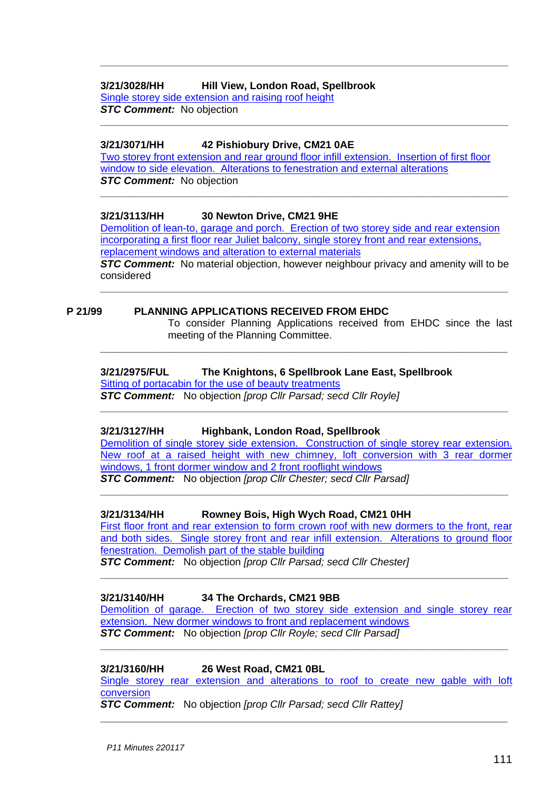# **3/21/3028/HH Hill View, London Road, Spellbrook** Single storey side extension [and raising roof height](https://publicaccess.eastherts.gov.uk/online-applications/applicationDetails.do?activeTab=documents&keyVal=R3P0J8GLIEN00)

*STC Comment:* No objection **\_\_\_\_\_\_\_\_\_\_\_\_\_\_\_\_\_\_\_\_\_\_\_\_\_\_\_\_\_\_\_\_\_\_\_\_\_\_\_\_\_\_\_\_\_\_\_\_\_\_\_\_\_\_\_\_\_\_\_\_\_\_\_\_\_\_\_\_\_\_\_**

# **3/21/3071/HH 42 Pishiobury Drive, CM21 0AE**

Two storey [front extension and rear ground floor infill extension. Insertion of first floor](https://publicaccess.eastherts.gov.uk/online-applications/applicationDetails.do?activeTab=documents&keyVal=R3UV8XGLIHJ00)  [window to side elevation. Alterations to fenestration and external alterations](https://publicaccess.eastherts.gov.uk/online-applications/applicationDetails.do?activeTab=documents&keyVal=R3UV8XGLIHJ00) **STC Comment:** No objection **\_\_\_\_\_\_\_\_\_\_\_\_\_\_\_\_\_\_\_\_\_\_\_\_\_\_\_\_\_\_\_\_\_\_\_\_\_\_\_\_\_\_\_\_\_\_\_\_\_\_\_\_\_\_\_\_\_\_\_\_\_\_\_\_\_\_\_\_\_\_\_**

**\_\_\_\_\_\_\_\_\_\_\_\_\_\_\_\_\_\_\_\_\_\_\_\_\_\_\_\_\_\_\_\_\_\_\_\_\_\_\_\_\_\_\_\_\_\_\_\_\_\_\_\_\_\_\_\_\_\_\_\_\_\_\_\_\_\_\_\_\_\_\_**

# **3/21/3113/HH 30 Newton Drive, CM21 9HE**

[Demolition of lean-to, garage and porch. Erection of two storey side and rear extension](https://publicaccess.eastherts.gov.uk/online-applications/applicationDetails.do?activeTab=documents&keyVal=R45Z7GGLIKR00)  incorporating a first floor rear [Juliet balcony, single storey front and rear extensions,](https://publicaccess.eastherts.gov.uk/online-applications/applicationDetails.do?activeTab=documents&keyVal=R45Z7GGLIKR00)  replacement windows [and alteration to external materials](https://publicaccess.eastherts.gov.uk/online-applications/applicationDetails.do?activeTab=documents&keyVal=R45Z7GGLIKR00)

*STC Comment:* No material objection, however neighbour privacy and amenity will to be considered **\_\_\_\_\_\_\_\_\_\_\_\_\_\_\_\_\_\_\_\_\_\_\_\_\_\_\_\_\_\_\_\_\_\_\_\_\_\_\_\_\_\_\_\_\_\_\_\_\_\_\_\_\_\_\_\_\_\_\_\_\_\_\_\_\_\_\_\_\_\_\_**

**\_\_\_\_\_\_\_\_\_\_\_\_\_\_\_\_\_\_\_\_\_\_\_\_\_\_\_\_\_\_\_\_\_\_\_\_\_\_\_\_\_\_\_\_\_\_\_\_\_\_\_\_\_\_\_\_\_\_\_\_\_\_\_\_\_**

# **P 21/99 PLANNING APPLICATIONS RECEIVED FROM EHDC**

To consider Planning Applications received from EHDC since the last meeting of the Planning Committee.

# **3/21/2975/FUL The Knightons, 6 Spellbrook Lane East, Spellbrook**

[Sitting of portacabin for the use of beauty treatments](https://publicaccess.eastherts.gov.uk/online-applications/applicationDetails.do?activeTab=documents&keyVal=R3CCJTGLIAH00)

*STC Comment:* No objection *[prop Cllr Parsad; secd Cllr Royle]* **\_\_\_\_\_\_\_\_\_\_\_\_\_\_\_\_\_\_\_\_\_\_\_\_\_\_\_\_\_\_\_\_\_\_\_\_\_\_\_\_\_\_\_\_\_\_\_\_\_\_\_\_\_\_\_\_\_\_\_\_\_\_\_\_\_\_\_\_\_\_\_**

#### **3/21/3127/HH Highbank, London Road, Spellbrook**

Demolition of single storey side extension. Construction of single storey rear extension. [New roof at a raised height with new chimney, loft conversion with 3 rear dormer](https://publicaccess.eastherts.gov.uk/online-applications/applicationDetails.do?activeTab=documents&keyVal=R47IQEGLILN00)  windows, 1 [front dormer window and 2 front rooflight windows](https://publicaccess.eastherts.gov.uk/online-applications/applicationDetails.do?activeTab=documents&keyVal=R47IQEGLILN00) *STC Comment:* No objection *[prop Cllr Chester; secd Cllr Parsad]*

**\_\_\_\_\_\_\_\_\_\_\_\_\_\_\_\_\_\_\_\_\_\_\_\_\_\_\_\_\_\_\_\_\_\_\_\_\_\_\_\_\_\_\_\_\_\_\_\_\_\_\_\_\_\_\_\_\_\_\_\_\_\_\_\_\_\_\_\_\_\_\_**

# **3/21/3134/HH Rowney Bois, High Wych Road, CM21 0HH**

[First floor front and rear extension to form crown roof with new dormers to the front, rear](https://publicaccess.eastherts.gov.uk/online-applications/applicationDetails.do?activeTab=documents&keyVal=R49DEDGLIMC00)  [and both sides. Single storey front and rear infill extension. Alterations to ground floor](https://publicaccess.eastherts.gov.uk/online-applications/applicationDetails.do?activeTab=documents&keyVal=R49DEDGLIMC00)  [fenestration. Demolish part of the stable building](https://publicaccess.eastherts.gov.uk/online-applications/applicationDetails.do?activeTab=documents&keyVal=R49DEDGLIMC00) *STC Comment:* No objection *[prop Cllr Parsad; secd Cllr Chester]*

# **\_\_\_\_\_\_\_\_\_\_\_\_\_\_\_\_\_\_\_\_\_\_\_\_\_\_\_\_\_\_\_\_\_\_\_\_\_\_\_\_\_\_\_\_\_\_\_\_\_\_\_\_\_\_\_\_\_\_\_\_\_\_\_\_\_\_\_\_\_\_\_**

### **3/21/3140/HH 34 The Orchards, CM21 9BB**

[Demolition of garage. Erection of two storey side extension and single storey rear](https://publicaccess.eastherts.gov.uk/online-applications/applicationDetails.do?activeTab=documents&keyVal=R49OKCGLIMP00)  [extension. New dormer windows to front and replacement windows](https://publicaccess.eastherts.gov.uk/online-applications/applicationDetails.do?activeTab=documents&keyVal=R49OKCGLIMP00) *STC Comment:* No objection *[prop Cllr Royle; secd Cllr Parsad]*

**\_\_\_\_\_\_\_\_\_\_\_\_\_\_\_\_\_\_\_\_\_\_\_\_\_\_\_\_\_\_\_\_\_\_\_\_\_\_\_\_\_\_\_\_\_\_\_\_\_\_\_\_\_\_\_\_\_\_\_\_\_\_\_\_\_\_\_\_\_\_\_**

#### **3/21/3160/HH 26 West Road, CM21 0BL**

[Single storey rear extension and alterations to roof to](https://publicaccess.eastherts.gov.uk/online-applications/applicationDetails.do?activeTab=documents&keyVal=R4GH1OGLIOA00) create new gable with loft [conversion](https://publicaccess.eastherts.gov.uk/online-applications/applicationDetails.do?activeTab=documents&keyVal=R4GH1OGLIOA00)

**\_\_\_\_\_\_\_\_\_\_\_\_\_\_\_\_\_\_\_\_\_\_\_\_\_\_\_\_\_\_\_\_\_\_\_\_\_\_\_\_\_\_\_\_\_\_\_\_\_\_\_\_\_\_\_\_\_\_\_\_\_\_\_\_\_**

*STC Comment:* No objection *[prop Cllr Parsad; secd Cllr Rattey]*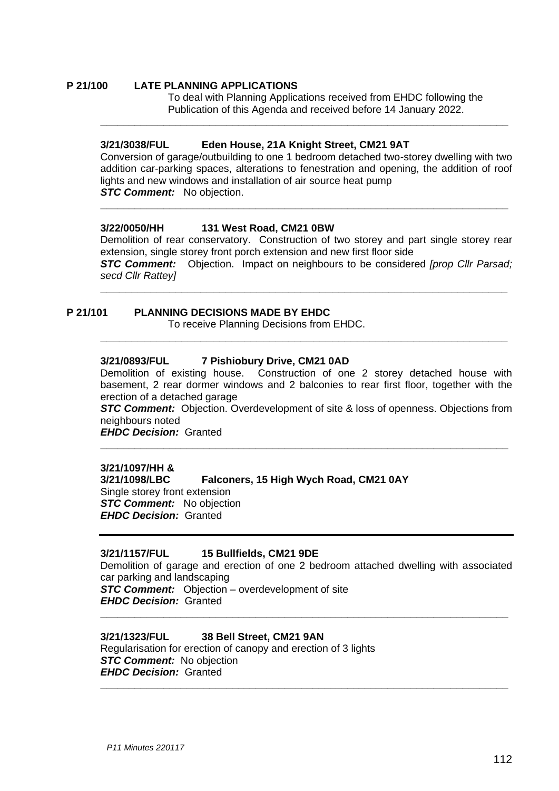#### **P 21/100 LATE PLANNING APPLICATIONS** To deal with Planning Applications received from EHDC following the Publication of this Agenda and received before 14 January 2022.

#### **3/21/3038/FUL Eden House, 21A Knight Street, CM21 9AT**

Conversion of garage/outbuilding to one 1 bedroom detached two-storey dwelling with two addition car-parking spaces, alterations to fenestration and opening, the addition of roof lights and new windows and installation of air source heat pump *STC Comment:* No objection.

**\_\_\_\_\_\_\_\_\_\_\_\_\_\_\_\_\_\_\_\_\_\_\_\_\_\_\_\_\_\_\_\_\_\_\_\_\_\_\_\_\_\_\_\_\_\_\_\_\_\_\_\_\_\_\_\_\_\_\_\_\_\_\_\_\_\_\_\_\_\_\_**

**\_\_\_\_\_\_\_\_\_\_\_\_\_\_\_\_\_\_\_\_\_\_\_\_\_\_\_\_\_\_\_\_\_\_\_\_\_\_\_\_\_\_\_\_\_\_\_\_\_\_\_\_\_\_\_\_\_\_\_\_\_\_\_\_\_\_\_\_\_\_\_**

#### **3/22/0050/HH 131 West Road, CM21 0BW**

Demolition of rear conservatory. Construction of two storey and part single storey rear extension, single storey front porch extension and new first floor side *STC Comment:* Objection. Impact on neighbours to be considered *[prop Cllr Parsad; secd Cllr Rattey]*

**\_\_\_\_\_\_\_\_\_\_\_\_\_\_\_\_\_\_\_\_\_\_\_\_\_\_\_\_\_\_\_\_\_\_\_\_\_\_\_\_\_\_\_\_\_\_\_\_\_\_\_\_\_\_\_\_\_\_\_\_\_\_\_\_\_**

**\_\_\_\_\_\_\_\_\_\_\_\_\_\_\_\_\_\_\_\_\_\_\_\_\_\_\_\_\_\_\_\_\_\_\_\_\_\_\_\_\_\_\_\_\_\_\_\_\_\_\_\_\_\_\_\_\_\_\_\_\_\_\_\_\_**

# **P 21/101 PLANNING DECISIONS MADE BY EHDC**

To receive Planning Decisions from EHDC.

#### **3/21/0893/FUL 7 Pishiobury Drive, CM21 0AD**

Demolition of existing house. Construction of one 2 storey detached house with basement, 2 rear dormer windows and 2 balconies to rear first floor, together with the erection of a detached garage

*STC Comment:* Objection. Overdevelopment of site & loss of openness. Objections from neighbours noted

**\_\_\_\_\_\_\_\_\_\_\_\_\_\_\_\_\_\_\_\_\_\_\_\_\_\_\_\_\_\_\_\_\_\_\_\_\_\_\_\_\_\_\_\_\_\_\_\_\_\_\_\_\_\_\_\_\_\_\_\_\_\_\_\_\_\_\_\_\_\_\_**

*EHDC Decision:* Granted

#### **3/21/1097/HH &**

**3/21/1098/LBC Falconers, 15 High Wych Road, CM21 0AY**  Single storey front extension *STC Comment:* No objection *EHDC Decision:* Granted

#### **3/21/1157/FUL 15 Bullfields, CM21 9DE**

Demolition of garage and erection of one 2 bedroom attached dwelling with associated car parking and landscaping **STC Comment:** Objection – overdevelopment of site

**\_\_\_\_\_\_\_\_\_\_\_\_\_\_\_\_\_\_\_\_\_\_\_\_\_\_\_\_\_\_\_\_\_\_\_\_\_\_\_\_\_\_\_\_\_\_\_\_\_\_\_\_\_\_\_\_\_\_\_\_\_\_\_\_\_\_\_\_\_\_\_**

**\_\_\_\_\_\_\_\_\_\_\_\_\_\_\_\_\_\_\_\_\_\_\_\_\_\_\_\_\_\_\_\_\_\_\_\_\_\_\_\_\_\_\_\_\_\_\_\_\_\_\_\_\_\_\_\_\_\_\_\_\_\_\_\_\_\_\_\_\_\_\_**

*EHDC Decision:* Granted

#### **3/21/1323/FUL 38 Bell Street, CM21 9AN**

Regularisation for erection of canopy and erection of 3 lights *STC Comment:* No objection *EHDC Decision:* Granted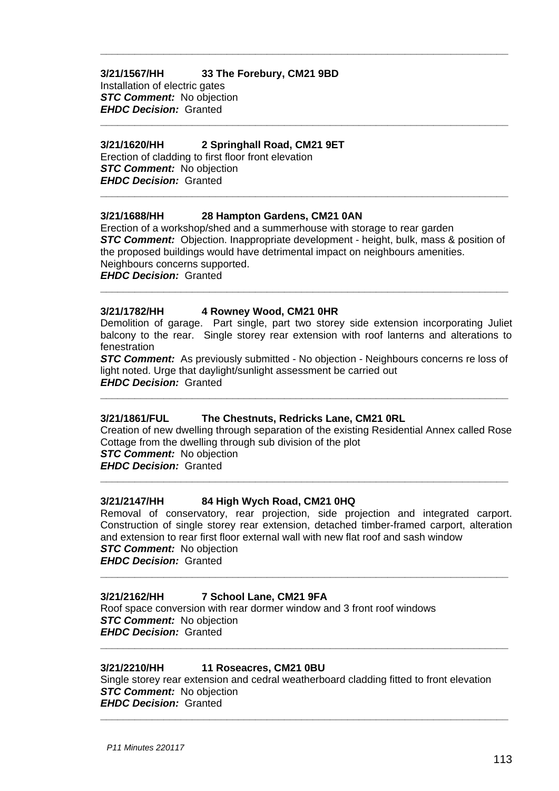# **3/21/1567/HH 33 The Forebury, CM21 9BD**

Installation of electric gates *STC Comment:* No objection *EHDC Decision:* Granted

# **3/21/1620/HH 2 Springhall Road, CM21 9ET**

Erection of cladding to first floor front elevation *STC Comment:* No objection *EHDC Decision:* Granted

# **3/21/1688/HH 28 Hampton Gardens, CM21 0AN**

Erection of a workshop/shed and a summerhouse with storage to rear garden *STC Comment:* Objection. Inappropriate development - height, bulk, mass & position of the proposed buildings would have detrimental impact on neighbours amenities. Neighbours concerns supported. *EHDC Decision:* Granted

**\_\_\_\_\_\_\_\_\_\_\_\_\_\_\_\_\_\_\_\_\_\_\_\_\_\_\_\_\_\_\_\_\_\_\_\_\_\_\_\_\_\_\_\_\_\_\_\_\_\_\_\_\_\_\_\_\_\_\_\_\_\_\_\_\_\_\_\_\_\_\_**

**\_\_\_\_\_\_\_\_\_\_\_\_\_\_\_\_\_\_\_\_\_\_\_\_\_\_\_\_\_\_\_\_\_\_\_\_\_\_\_\_\_\_\_\_\_\_\_\_\_\_\_\_\_\_\_\_\_\_\_\_\_\_\_\_\_\_\_\_\_\_\_**

**\_\_\_\_\_\_\_\_\_\_\_\_\_\_\_\_\_\_\_\_\_\_\_\_\_\_\_\_\_\_\_\_\_\_\_\_\_\_\_\_\_\_\_\_\_\_\_\_\_\_\_\_\_\_\_\_\_\_\_\_\_\_\_\_\_\_\_\_\_\_\_**

**\_\_\_\_\_\_\_\_\_\_\_\_\_\_\_\_\_\_\_\_\_\_\_\_\_\_\_\_\_\_\_\_\_\_\_\_\_\_\_\_\_\_\_\_\_\_\_\_\_\_\_\_\_\_\_\_\_\_\_\_\_\_\_\_\_\_\_\_\_\_\_**

# **3/21/1782/HH 4 Rowney Wood, CM21 0HR**

Demolition of garage. Part single, part two storey side extension incorporating Juliet balcony to the rear. Single storey rear extension with roof lanterns and alterations to fenestration

**STC Comment:** As previously submitted - No objection - Neighbours concerns re loss of light noted. Urge that daylight/sunlight assessment be carried out *EHDC Decision:* Granted

**\_\_\_\_\_\_\_\_\_\_\_\_\_\_\_\_\_\_\_\_\_\_\_\_\_\_\_\_\_\_\_\_\_\_\_\_\_\_\_\_\_\_\_\_\_\_\_\_\_\_\_\_\_\_\_\_\_\_\_\_\_\_\_\_\_\_\_\_\_\_\_**

#### **3/21/1861/FUL The Chestnuts, Redricks Lane, CM21 0RL**

Creation of new dwelling through separation of the existing Residential Annex called Rose Cottage from the dwelling through sub division of the plot

**\_\_\_\_\_\_\_\_\_\_\_\_\_\_\_\_\_\_\_\_\_\_\_\_\_\_\_\_\_\_\_\_\_\_\_\_\_\_\_\_\_\_\_\_\_\_\_\_\_\_\_\_\_\_\_\_\_\_\_\_\_\_\_\_\_\_\_\_\_\_\_**

*STC Comment:* No objection *EHDC Decision:* Granted

#### **3/21/2147/HH 84 High Wych Road, CM21 0HQ**

Removal of conservatory, rear projection, side projection and integrated carport. Construction of single storey rear extension, detached timber-framed carport, alteration and extension to rear first floor external wall with new flat roof and sash window **STC Comment:** No objection

**\_\_\_\_\_\_\_\_\_\_\_\_\_\_\_\_\_\_\_\_\_\_\_\_\_\_\_\_\_\_\_\_\_\_\_\_\_\_\_\_\_\_\_\_\_\_\_\_\_\_\_\_\_\_\_\_\_\_\_\_\_\_\_\_\_\_\_\_\_\_\_**

**\_\_\_\_\_\_\_\_\_\_\_\_\_\_\_\_\_\_\_\_\_\_\_\_\_\_\_\_\_\_\_\_\_\_\_\_\_\_\_\_\_\_\_\_\_\_\_\_\_\_\_\_\_\_\_\_\_\_\_\_\_\_\_\_\_\_\_\_\_\_\_**

*EHDC Decision:* Granted

#### **3/21/2162/HH 7 School Lane, CM21 9FA**

Roof space conversion with rear dormer window and 3 front roof windows *STC Comment:* No objection *EHDC Decision:* Granted

#### **3/21/2210/HH 11 Roseacres, CM21 0BU**

Single storey rear extension and cedral weatherboard cladding fitted to front elevation *STC Comment:* No objection *EHDC Decision:* Granted

**\_\_\_\_\_\_\_\_\_\_\_\_\_\_\_\_\_\_\_\_\_\_\_\_\_\_\_\_\_\_\_\_\_\_\_\_\_\_\_\_\_\_\_\_\_\_\_\_\_\_\_\_\_\_\_\_\_\_\_\_\_\_\_\_\_\_\_\_\_\_\_**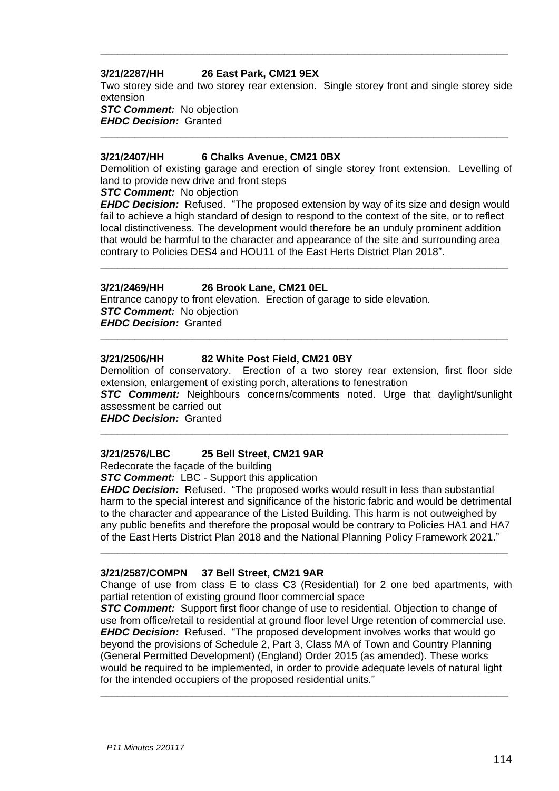#### **3/21/2287/HH 26 East Park, CM21 9EX**

Two storey side and two storey rear extension. Single storey front and single storey side extension

**\_\_\_\_\_\_\_\_\_\_\_\_\_\_\_\_\_\_\_\_\_\_\_\_\_\_\_\_\_\_\_\_\_\_\_\_\_\_\_\_\_\_\_\_\_\_\_\_\_\_\_\_\_\_\_\_\_\_\_\_\_\_\_\_\_\_\_\_\_\_\_**

**STC Comment:** No objection *EHDC Decision:* Granted **\_\_\_\_\_\_\_\_\_\_\_\_\_\_\_\_\_\_\_\_\_\_\_\_\_\_\_\_\_\_\_\_\_\_\_\_\_\_\_\_\_\_\_\_\_\_\_\_\_\_\_\_\_\_\_\_\_\_\_\_\_\_\_\_\_\_\_\_\_\_\_**

#### **3/21/2407/HH 6 Chalks Avenue, CM21 0BX**

Demolition of existing garage and erection of single storey front extension. Levelling of land to provide new drive and front steps

*STC Comment:* No objection

*EHDC Decision:* Refused. "The proposed extension by way of its size and design would fail to achieve a high standard of design to respond to the context of the site, or to reflect local distinctiveness. The development would therefore be an unduly prominent addition that would be harmful to the character and appearance of the site and surrounding area contrary to Policies DES4 and HOU11 of the East Herts District Plan 2018".

**\_\_\_\_\_\_\_\_\_\_\_\_\_\_\_\_\_\_\_\_\_\_\_\_\_\_\_\_\_\_\_\_\_\_\_\_\_\_\_\_\_\_\_\_\_\_\_\_\_\_\_\_\_\_\_\_\_\_\_\_\_\_\_\_\_\_\_\_\_\_\_**

#### **3/21/2469/HH 26 Brook Lane, CM21 0EL**

Entrance canopy to front elevation. Erection of garage to side elevation. *STC Comment:* No objection *EHDC Decision:* Granted

#### **3/21/2506/HH 82 White Post Field, CM21 0BY**

Demolition of conservatory. Erection of a two storey rear extension, first floor side extension, enlargement of existing porch, alterations to fenestration

**\_\_\_\_\_\_\_\_\_\_\_\_\_\_\_\_\_\_\_\_\_\_\_\_\_\_\_\_\_\_\_\_\_\_\_\_\_\_\_\_\_\_\_\_\_\_\_\_\_\_\_\_\_\_\_\_\_\_\_\_\_\_\_\_\_\_\_\_\_\_\_**

*STC Comment:* Neighbours concerns/comments noted. Urge that daylight/sunlight assessment be carried out

**\_\_\_\_\_\_\_\_\_\_\_\_\_\_\_\_\_\_\_\_\_\_\_\_\_\_\_\_\_\_\_\_\_\_\_\_\_\_\_\_\_\_\_\_\_\_\_\_\_\_\_\_\_\_\_\_\_\_\_\_\_\_\_\_\_\_\_\_\_\_\_**

*EHDC Decision:* Granted

#### **3/21/2576/LBC 25 Bell Street, CM21 9AR**

Redecorate the façade of the building

*STC Comment:* LBC - Support this application

*EHDC Decision:* Refused. "The proposed works would result in less than substantial harm to the special interest and significance of the historic fabric and would be detrimental to the character and appearance of the Listed Building. This harm is not outweighed by any public benefits and therefore the proposal would be contrary to Policies HA1 and HA7 of the East Herts District Plan 2018 and the National Planning Policy Framework 2021."

**\_\_\_\_\_\_\_\_\_\_\_\_\_\_\_\_\_\_\_\_\_\_\_\_\_\_\_\_\_\_\_\_\_\_\_\_\_\_\_\_\_\_\_\_\_\_\_\_\_\_\_\_\_\_\_\_\_\_\_\_\_\_\_\_\_\_\_\_\_\_\_**

#### **3/21/2587/COMPN 37 Bell Street, CM21 9AR**

Change of use from class E to class C3 (Residential) for 2 one bed apartments, with partial retention of existing ground floor commercial space

**STC Comment:** Support first floor change of use to residential. Objection to change of use from office/retail to residential at ground floor level Urge retention of commercial use. *EHDC Decision:* Refused. "The proposed development involves works that would go beyond the provisions of Schedule 2, Part 3, Class MA of Town and Country Planning (General Permitted Development) (England) Order 2015 (as amended). These works would be required to be implemented, in order to provide adequate levels of natural light for the intended occupiers of the proposed residential units."

**\_\_\_\_\_\_\_\_\_\_\_\_\_\_\_\_\_\_\_\_\_\_\_\_\_\_\_\_\_\_\_\_\_\_\_\_\_\_\_\_\_\_\_\_\_\_\_\_\_\_\_\_\_\_\_\_\_\_\_\_\_\_\_\_\_\_\_\_\_\_\_**